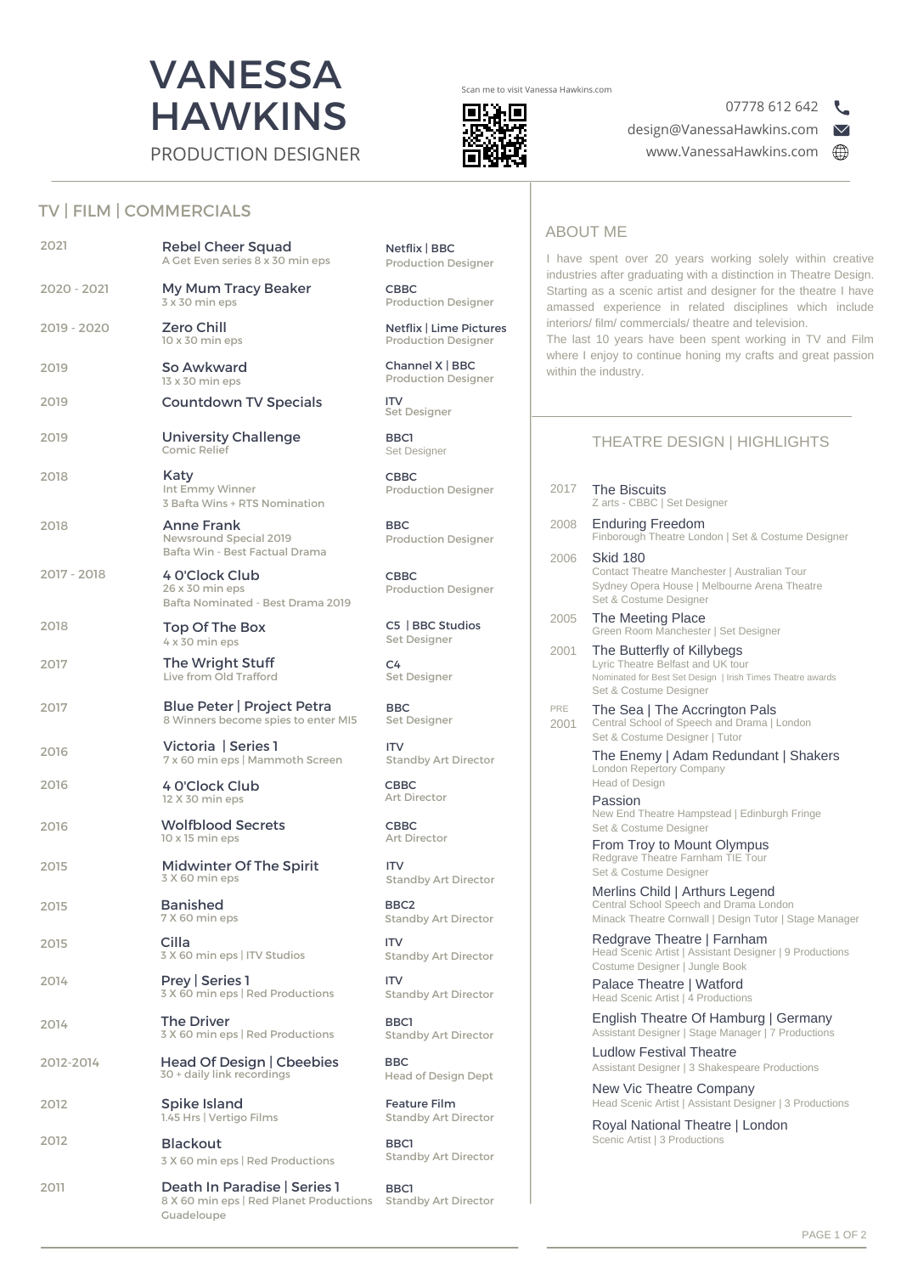

Scan me to visit Vanessa Hawkins.com



07778 612 642



TV | FILM | COMMERCIALS

|             |                                                                                                                           |                                                                    | <b>ABOUT ME</b> |                                                                                                                                                                                                                                                 |  |
|-------------|---------------------------------------------------------------------------------------------------------------------------|--------------------------------------------------------------------|-----------------|-------------------------------------------------------------------------------------------------------------------------------------------------------------------------------------------------------------------------------------------------|--|
| 2021        | <b>Rebel Cheer Squad</b><br>A Get Even series 8 x 30 min eps                                                              | Netflix   BBC<br><b>Production Designer</b>                        |                 | I have spent over 20 years working solely within creative<br>industries after graduating with a distinction in Theatre Design.                                                                                                                  |  |
| 2020 - 2021 | My Mum Tracy Beaker<br>3 x 30 min eps                                                                                     | <b>CBBC</b><br><b>Production Designer</b>                          |                 | Starting as a scenic artist and designer for the theatre I have<br>amassed experience in related disciplines which include<br>interiors/ film/ commercials/ theatre and television.<br>The last 10 years have been spent working in TV and Film |  |
| 2019 - 2020 | <b>Zero Chill</b><br>10 x 30 min eps                                                                                      | Netflix   Lime Pictures<br><b>Production Designer</b>              |                 |                                                                                                                                                                                                                                                 |  |
| 2019        | So Awkward<br>13 x 30 min eps                                                                                             | Channel X   BBC<br><b>Production Designer</b>                      |                 | where I enjoy to continue honing my crafts and great passion<br>within the industry.                                                                                                                                                            |  |
| 2019        | <b>Countdown TV Specials</b>                                                                                              | ITV<br>Set Designer                                                |                 |                                                                                                                                                                                                                                                 |  |
| 2019        | <b>University Challenge</b><br>Comic Relief                                                                               | BBC1<br>Set Designer                                               |                 | <b>THEATRE DESIGN   HIGHLIGHTS</b>                                                                                                                                                                                                              |  |
| 2018        | Katy<br>Int Emmy Winner<br>3 Bafta Wins + RTS Nomination                                                                  | <b>CBBC</b><br><b>Production Designer</b>                          | 2017            | <b>The Biscuits</b><br>Z arts - CBBC   Set Designer                                                                                                                                                                                             |  |
| 2018        | <b>Anne Frank</b><br>Newsround Special 2019                                                                               | <b>BBC</b><br><b>Production Designer</b>                           | 2008            | <b>Enduring Freedom</b><br>Finborough Theatre London   Set & Costume Designer                                                                                                                                                                   |  |
| 2017 - 2018 | Bafta Win - Best Factual Drama<br>4 O'Clock Club<br>26 x 30 min eps<br>Bafta Nominated - Best Drama 2019                  | <b>CBBC</b><br><b>Production Designer</b>                          | 2006            | <b>Skid 180</b><br>Contact Theatre Manchester   Australian Tour<br>Sydney Opera House   Melbourne Arena Theatre<br>Set & Costume Designer                                                                                                       |  |
| 2018        | Top Of The Box<br>4 x 30 min eps                                                                                          | C5   BBC Studios<br>Set Designer                                   | 2005            | The Meeting Place<br>Green Room Manchester   Set Designer                                                                                                                                                                                       |  |
| 2017        | The Wright Stuff<br>Live from Old Trafford                                                                                | C4<br>Set Designer                                                 | 2001            | The Butterfly of Killybegs<br>Lyric Theatre Belfast and UK tour<br>Nominated for Best Set Design   Irish Times Theatre awards<br>Set & Costume Designer                                                                                         |  |
| 2017        | Blue Peter   Project Petra<br>8 Winners become spies to enter MI5                                                         | <b>BBC</b><br>Set Designer                                         | PRE<br>2001     | The Sea   The Accrington Pals<br>Central School of Speech and Drama   London                                                                                                                                                                    |  |
| 2016        | Victoria   Series 1<br>7 x 60 min eps   Mammoth Screen                                                                    | <b>ITV</b><br><b>Standby Art Director</b>                          |                 | Set & Costume Designer   Tutor<br>The Enemy   Adam Redundant   Shakers<br><b>London Repertory Company</b>                                                                                                                                       |  |
| 2016        | 4 O'Clock Club<br>12 X 30 min eps                                                                                         | <b>CBBC</b><br>Art Director                                        |                 | Head of Design<br>Passion                                                                                                                                                                                                                       |  |
| 2016        | <b>Wolfblood Secrets</b><br>10 x 15 min eps                                                                               | <b>CBBC</b><br><b>Art Director</b>                                 |                 | New End Theatre Hampstead   Edinburgh Fringe<br>Set & Costume Designer<br>From Troy to Mount Olympus                                                                                                                                            |  |
| 2015        | <b>Midwinter Of The Spirit</b><br>3 X 60 min eps                                                                          | <b>ITV</b><br><b>Standby Art Director</b>                          |                 | Redgrave Theatre Farnham TIE Tour<br>Set & Costume Designer                                                                                                                                                                                     |  |
| 2015        | <b>Banished</b><br>7 X 60 min eps                                                                                         | BBC2<br><b>Standby Art Director</b>                                |                 | Merlins Child   Arthurs Legend<br>Central School Speech and Drama London<br>Minack Theatre Cornwall   Design Tutor   Stage Manager                                                                                                              |  |
| 2015        | Cilla<br>3 X 60 min eps   ITV Studios                                                                                     | <b>ITV</b><br><b>Standby Art Director</b>                          |                 | Redgrave Theatre   Farnham<br>Head Scenic Artist   Assistant Designer   9 Productions                                                                                                                                                           |  |
| 2014        | Prev   Series 1<br>3 X 60 min eps   Red Productions                                                                       | <b>ITV</b><br><b>Standby Art Director</b>                          |                 | Costume Designer   Jungle Book<br>Palace Theatre   Watford<br>Head Scenic Artist   4 Productions                                                                                                                                                |  |
| 2014        | <b>The Driver</b><br>3 X 60 min eps   Red Productions                                                                     | BBC1<br><b>Standby Art Director</b>                                |                 | English Theatre Of Hamburg   Germany<br>Assistant Designer   Stage Manager   7 Productions                                                                                                                                                      |  |
| 2012-2014   | Head Of Design   Cbeebies<br>30 + daily link recordings                                                                   | <b>BBC</b><br><b>Head of Design Dept</b>                           |                 | <b>Ludlow Festival Theatre</b><br>Assistant Designer   3 Shakespeare Productions                                                                                                                                                                |  |
| 2012        | Spike Island                                                                                                              | <b>Feature Film</b>                                                |                 | New Vic Theatre Company<br>Head Scenic Artist   Assistant Designer   3 Productions                                                                                                                                                              |  |
| 2012        | 1.45 Hrs   Vertigo Films<br><b>Blackout</b>                                                                               | <b>Standby Art Director</b><br>BBC1<br><b>Standby Art Director</b> |                 | Royal National Theatre   London<br>Scenic Artist   3 Productions                                                                                                                                                                                |  |
| 2011        | 3 X 60 min eps   Red Productions<br>Death In Paradise   Series 1<br>8 X 60 min eps   Red Planet Productions<br>Guadeloupe | BBC1<br><b>Standby Art Director</b>                                |                 |                                                                                                                                                                                                                                                 |  |